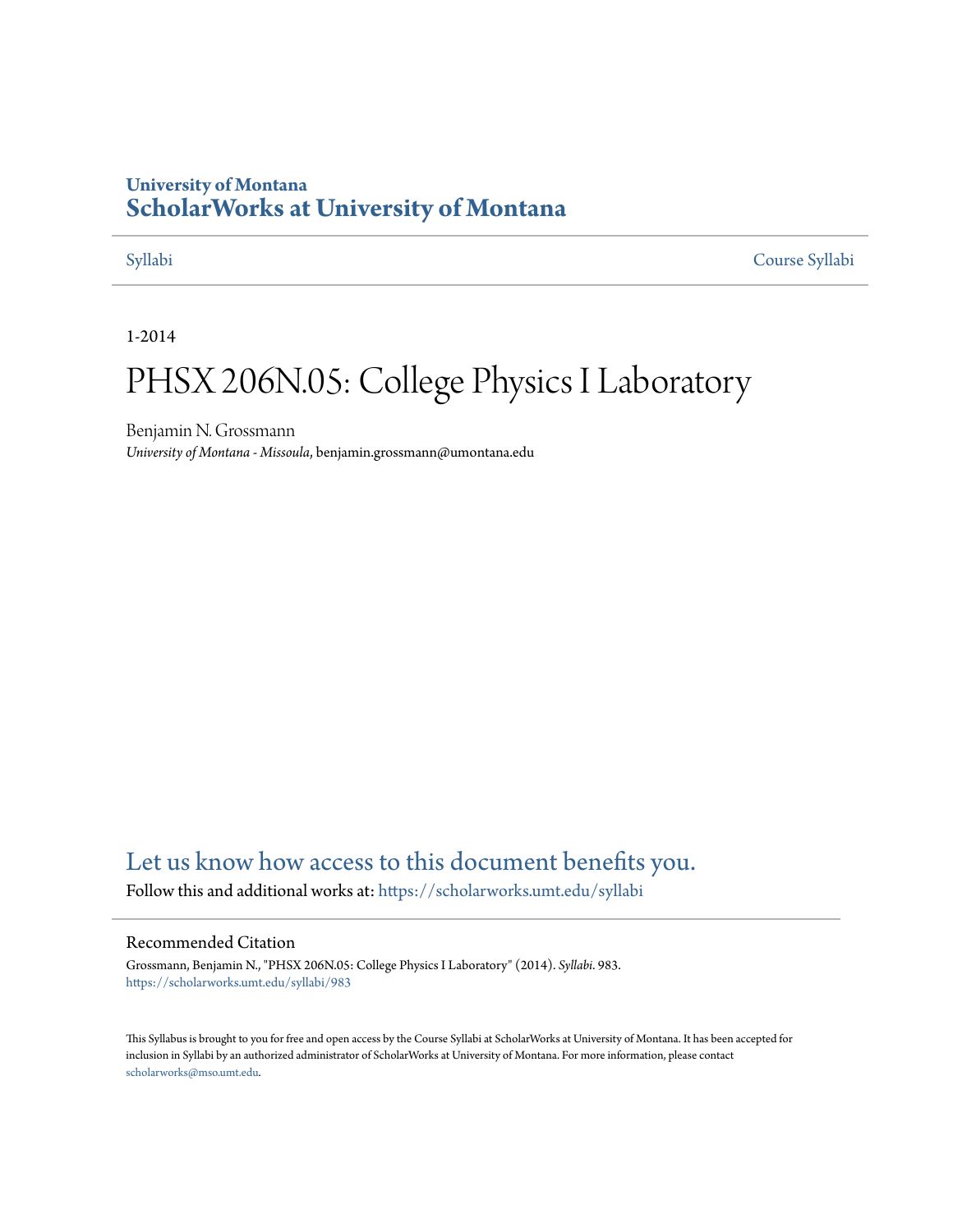#### **University of Montana [ScholarWorks at University of Montana](https://scholarworks.umt.edu?utm_source=scholarworks.umt.edu%2Fsyllabi%2F983&utm_medium=PDF&utm_campaign=PDFCoverPages)**

[Syllabi](https://scholarworks.umt.edu/syllabi?utm_source=scholarworks.umt.edu%2Fsyllabi%2F983&utm_medium=PDF&utm_campaign=PDFCoverPages) [Course Syllabi](https://scholarworks.umt.edu/course_syllabi?utm_source=scholarworks.umt.edu%2Fsyllabi%2F983&utm_medium=PDF&utm_campaign=PDFCoverPages)

1-2014

## PHSX 206N.05: College Physics I Laboratory

Benjamin N. Grossmann *University of Montana - Missoula*, benjamin.grossmann@umontana.edu

#### [Let us know how access to this document benefits you.](https://goo.gl/forms/s2rGfXOLzz71qgsB2)

Follow this and additional works at: [https://scholarworks.umt.edu/syllabi](https://scholarworks.umt.edu/syllabi?utm_source=scholarworks.umt.edu%2Fsyllabi%2F983&utm_medium=PDF&utm_campaign=PDFCoverPages)

#### Recommended Citation

Grossmann, Benjamin N., "PHSX 206N.05: College Physics I Laboratory" (2014). *Syllabi*. 983. [https://scholarworks.umt.edu/syllabi/983](https://scholarworks.umt.edu/syllabi/983?utm_source=scholarworks.umt.edu%2Fsyllabi%2F983&utm_medium=PDF&utm_campaign=PDFCoverPages)

This Syllabus is brought to you for free and open access by the Course Syllabi at ScholarWorks at University of Montana. It has been accepted for inclusion in Syllabi by an authorized administrator of ScholarWorks at University of Montana. For more information, please contact [scholarworks@mso.umt.edu](mailto:scholarworks@mso.umt.edu).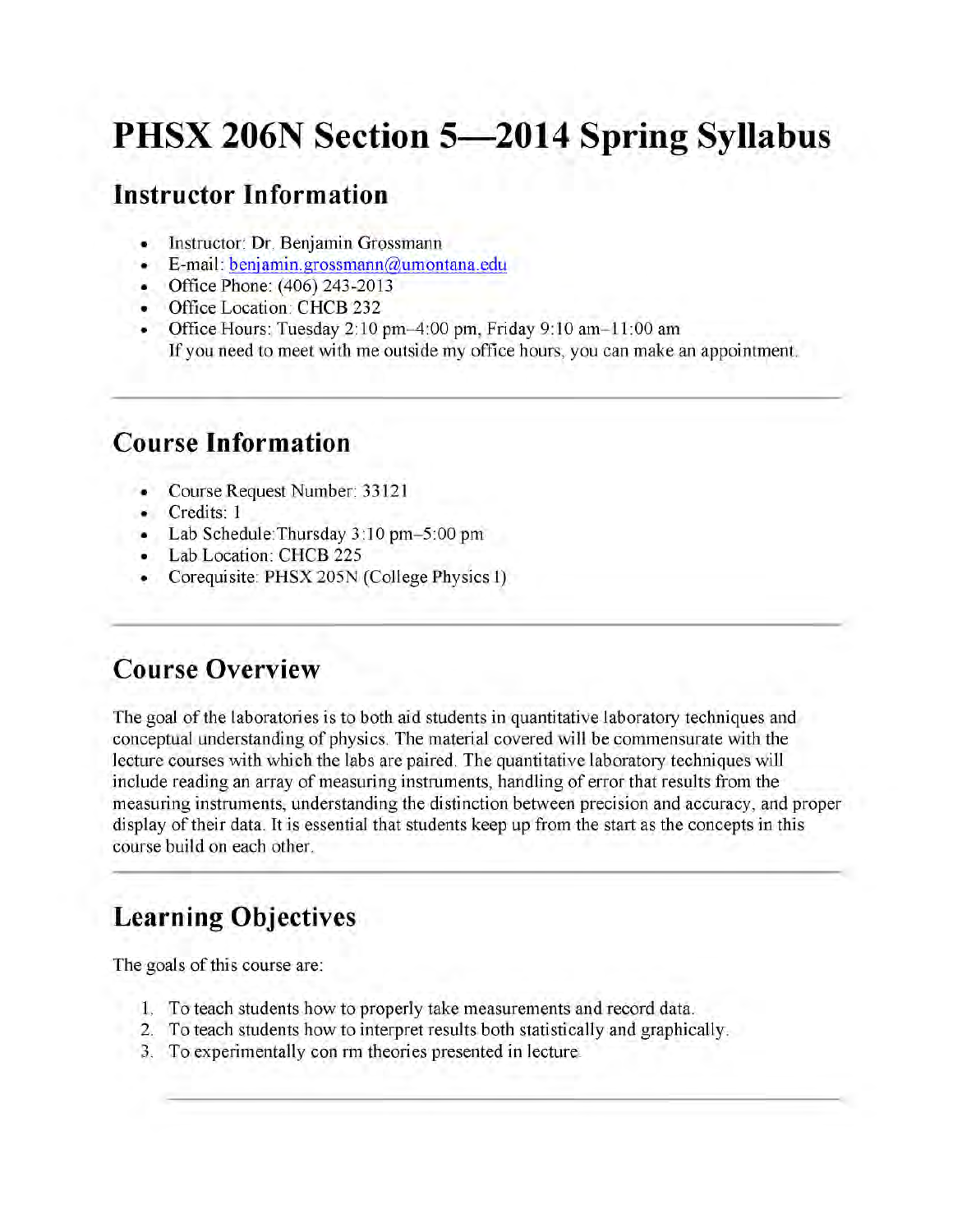# **PHSX 206N Section 5—2014 Spring Syllabus**

#### **Instructor Information**

- Instructor: Dr. Benjamin Grossmann
- E-mail: benjamin.grossmann@umontana.edu
- . Office Phone: (406) 243-2013
- . Office Location: CHCB 232
- Office Hours: Tuesday 2:10 pm-4:00 pm, Friday 9:10 am- $11:00$  am If you need to meet with me outside my office hours, you can make an appointment.

#### **Course Information**

- Course Request Number: 33121
- Credits: 1
- Lab Schedule:Thursday 3:10 pm-5:00 pm
- Lab Location: CHCB 225
- Corequisite: PHSX 205N (College Physics I)

#### **Course Overview**

The goal of the laboratories is to both aid students in quantitative laboratory techniques and conceptual understanding of physics. The material covered will be commensurate with the lecture courses with which the labs are paired. The quantitative laboratory techniques will include reading an array of measuring instruments, handling of error that results from the measuring instruments, understanding the distinction between precision and accuracy, and proper display of their data. It is essential that students keep up from the start as the concepts in this course build on each other.

## **Learning Objectives**

The goals of this course are:

- 1. To teach students how to properly take measurements and record data.
- 2. To teach students how to interpret results both statistically and graphically.
- 3. To experimentally con rm theories presented in lecture.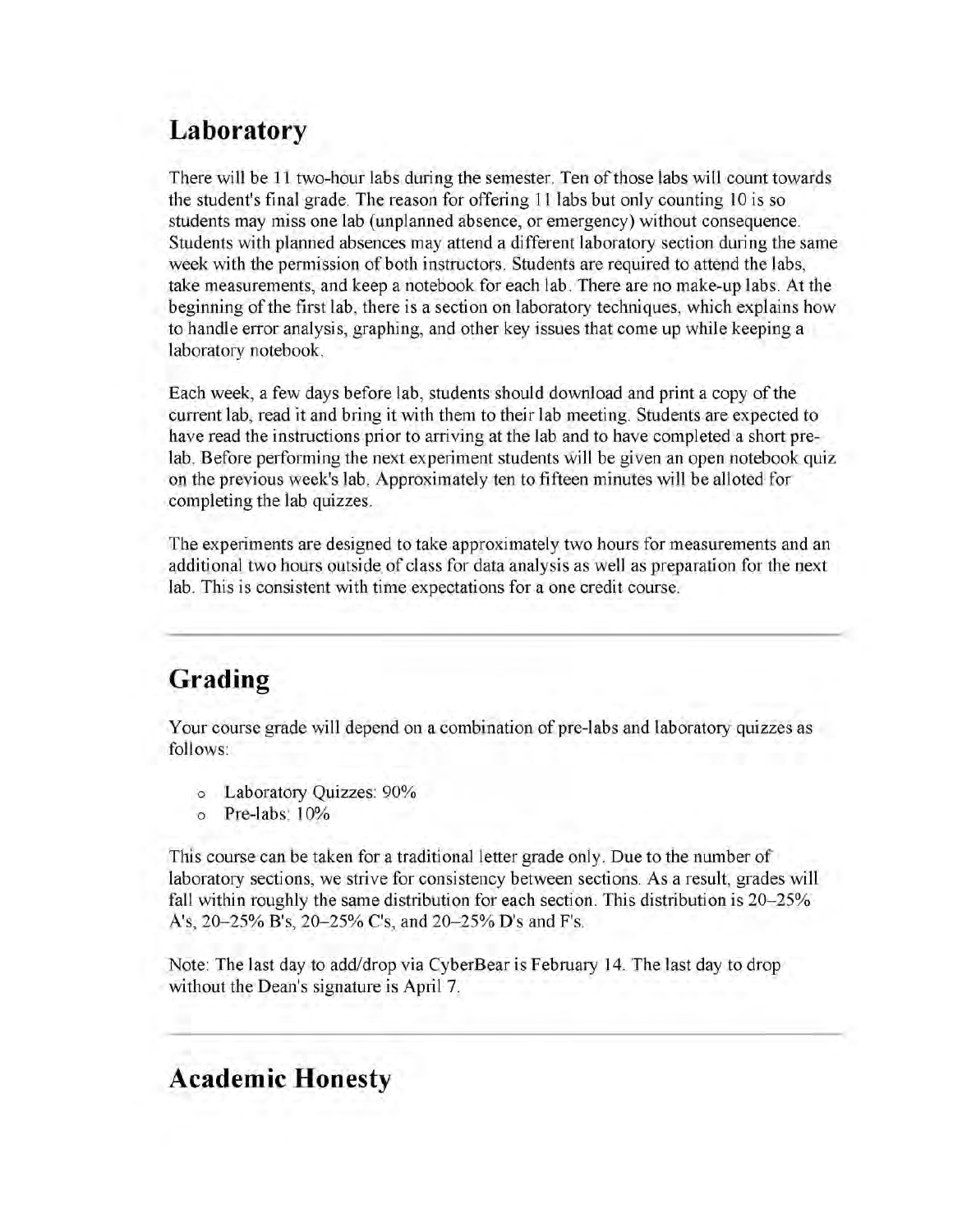### **Laboratory**

There will be 11 two-hour labs during the semester. Ten of those labs will count towards the student's final grade. The reason for offering 11 labs but only counting 10 is so students may miss one lab (unplanned absence, or emergency) without consequence. Students with planned absences may attend a different laboratory section during the same week with the permission of both instructors. Students are required to attend the labs, take measurements, and keep a notebook for each lab. There are no make-up labs. At the beginning of the first lab, there is a section on laboratory techniques, which explains how to handle error analysis, graphing, and other key issues that come up while keeping a laboratory notebook.

Each week, a few days before lab, students should download and print a copy of the current lab, read it and bring it with them to their lab meeting. Students are expected to have read the instructions prior to arriving at the lab and to have completed a short prelab. Before performing the next experiment students will be given an open notebook quiz on the previous week's lab. Approximately ten to fifteen minutes will be alloted for completing the lab quizzes.

The experiments are designed to take approximately two hours for measurements and an additional two hours outside of class for data analysis as well as preparation for the next lab. This is consistent with time expectations for a one credit course.

### **Grading**

Your course grade will depend on a combination of pre-labs and laboratory quizzes as follows:

- o Laboratory Quizzes: 90%
- o Pre-labs: 10%

This course can be taken for a traditional letter grade only. Due to the number of laboratory sections, we strive for consistency between sections. As a result, grades will fall within roughly the same distribution for each section. This distribution is 20–25% A's, 20-25% B's, 20-25% C's, and 20-25% D's and F's.

Note: The last day to add/drop via CyberBear is February 14. The last day to drop without the Dean's signature is April 7.

#### **Academic Honesty**